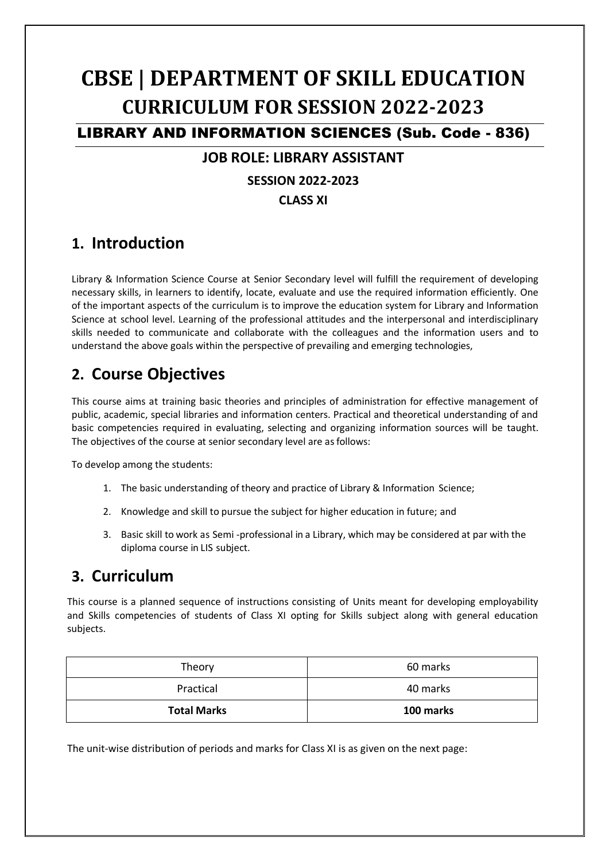# **CBSE | DEPARTMENT OF SKILL EDUCATION CURRICULUM FOR SESSION 2022-2023**

LIBRARY AND INFORMATION SCIENCES (Sub. Code - 836)

# **JOB ROLE: LIBRARY ASSISTANT**

#### **SESSION 2022-2023**

#### **CLASS XI**

# **1. Introduction**

Library & Information Science Course at Senior Secondary level will fulfill the requirement of developing necessary skills, in learners to identify, locate, evaluate and use the required information efficiently. One of the important aspects of the curriculum is to improve the education system for Library and Information Science at school level. Learning of the professional attitudes and the interpersonal and interdisciplinary skills needed to communicate and collaborate with the colleagues and the information users and to understand the above goals within the perspective of prevailing and emerging technologies,

# **2. Course Objectives**

This course aims at training basic theories and principles of administration for effective management of public, academic, special libraries and information centers. Practical and theoretical understanding of and basic competencies required in evaluating, selecting and organizing information sources will be taught. The objectives of the course at senior secondary level are as follows:

To develop among the students:

- 1. The basic understanding of theory and practice of Library & Information Science;
- 2. Knowledge and skill to pursue the subject for higher education in future; and
- 3. Basic skill to work as Semi -professional in a Library, which may be considered at par with the diploma course in LIS subject.

# **3. Curriculum**

This course is a planned sequence of instructions consisting of Units meant for developing employability and Skills competencies of students of Class XI opting for Skills subject along with general education subjects.

| Theory             | 60 marks  |  |
|--------------------|-----------|--|
| Practical          | 40 marks  |  |
| <b>Total Marks</b> | 100 marks |  |

The unit-wise distribution of periods and marks for Class XI is as given on the next page: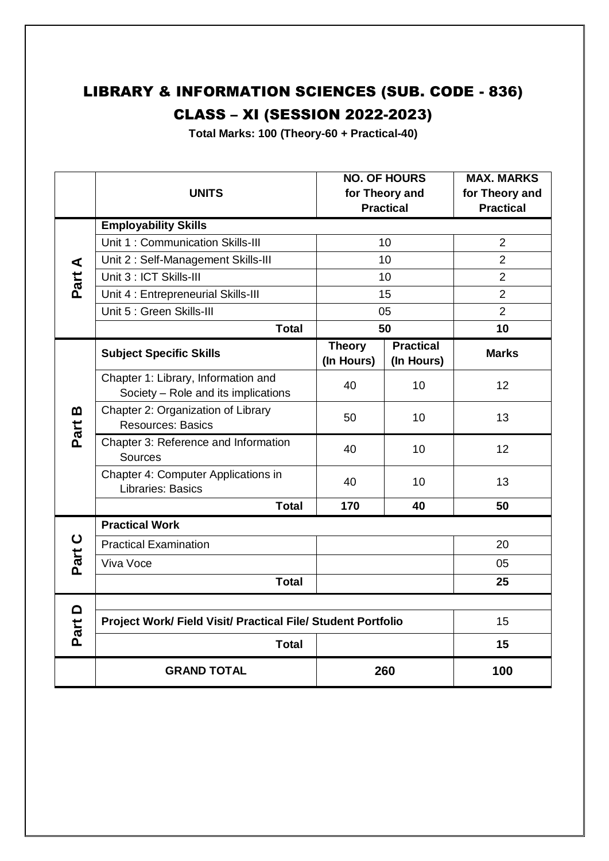# LIBRARY & INFORMATION SCIENCES (SUB. CODE - 836)

# CLASS – XI (SESSION 2022-2023)

**Total Marks: 100 (Theory-60 + Practical-40)**

|                                               | <b>UNITS</b>                                                               | <b>NO. OF HOURS</b><br>for Theory and<br><b>Practical</b> |                                | <b>MAX. MARKS</b><br>for Theory and<br><b>Practical</b> |  |  |
|-----------------------------------------------|----------------------------------------------------------------------------|-----------------------------------------------------------|--------------------------------|---------------------------------------------------------|--|--|
| $\blacktriangleleft$<br>Part                  | <b>Employability Skills</b>                                                |                                                           |                                |                                                         |  |  |
|                                               | Unit 1: Communication Skills-III                                           | 10                                                        |                                | $\overline{2}$                                          |  |  |
|                                               | Unit 2: Self-Management Skills-III                                         | 10                                                        |                                | $\overline{2}$                                          |  |  |
|                                               | Unit 3 : ICT Skills-III                                                    | 10                                                        |                                | $\overline{2}$                                          |  |  |
|                                               | Unit 4 : Entrepreneurial Skills-III                                        | 15                                                        |                                | $\overline{2}$                                          |  |  |
|                                               | Unit 5 : Green Skills-III                                                  | 05                                                        |                                | $\overline{2}$                                          |  |  |
|                                               | <b>Total</b>                                                               | 50                                                        |                                | 10                                                      |  |  |
| $\boldsymbol{\underline{\mathsf{m}}}$<br>Part | <b>Subject Specific Skills</b>                                             | <b>Theory</b><br>(In Hours)                               | <b>Practical</b><br>(In Hours) | <b>Marks</b>                                            |  |  |
|                                               | Chapter 1: Library, Information and<br>Society - Role and its implications | 40                                                        | 10                             | 12                                                      |  |  |
|                                               | Chapter 2: Organization of Library<br><b>Resources: Basics</b>             | 50                                                        | 10                             | 13                                                      |  |  |
|                                               | Chapter 3: Reference and Information<br>Sources                            | 40                                                        | 10                             | 12                                                      |  |  |
|                                               | Chapter 4: Computer Applications in<br><b>Libraries: Basics</b>            | 40                                                        | 10                             | 13                                                      |  |  |
|                                               | <b>Total</b>                                                               | 170                                                       | 40                             | 50                                                      |  |  |
|                                               | <b>Practical Work</b>                                                      |                                                           |                                |                                                         |  |  |
| Part C                                        | <b>Practical Examination</b>                                               |                                                           |                                | 20                                                      |  |  |
|                                               | Viva Voce                                                                  |                                                           |                                | 05                                                      |  |  |
|                                               | <b>Total</b>                                                               |                                                           |                                | 25                                                      |  |  |
|                                               |                                                                            |                                                           |                                |                                                         |  |  |
| $\Omega$<br>Part                              | Project Work/ Field Visit/ Practical File/ Student Portfolio               |                                                           |                                | 15                                                      |  |  |
|                                               | <b>Total</b>                                                               |                                                           | 15                             |                                                         |  |  |
|                                               | 260<br><b>GRAND TOTAL</b>                                                  |                                                           | 100                            |                                                         |  |  |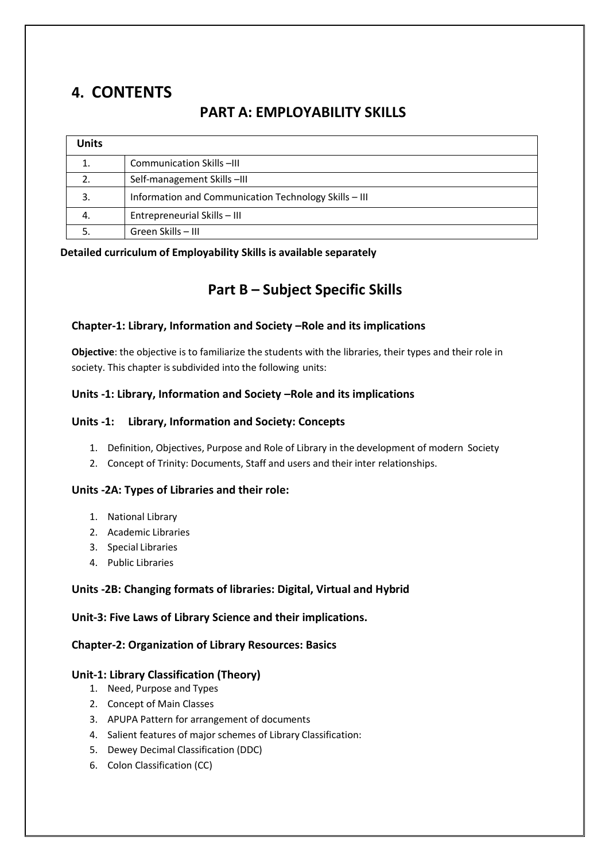# **4. CONTENTS**

### **PART A: EMPLOYABILITY SKILLS**

| Units |                                                       |
|-------|-------------------------------------------------------|
|       | Communication Skills -III                             |
| 2.    | Self-management Skills-III                            |
| 3.    | Information and Communication Technology Skills - III |
| 4.    | Entrepreneurial Skills - III                          |
|       | Green Skills - III                                    |

#### **Detailed curriculum of Employability Skills is available separately**

### **Part B – Subject Specific Skills**

#### **Chapter-1: Library, Information and Society –Role and its implications**

**Objective**: the objective is to familiarize the students with the libraries, their types and their role in society. This chapter is subdivided into the following units:

#### **Units -1: Library, Information and Society –Role and its implications**

#### **Units -1: Library, Information and Society: Concepts**

- 1. Definition, Objectives, Purpose and Role of Library in the development of modern Society
- 2. Concept of Trinity: Documents, Staff and users and their inter relationships.

#### **Units -2A: Types of Libraries and their role:**

- 1. National Library
- 2. Academic Libraries
- 3. Special Libraries
- 4. Public Libraries

#### **Units -2B: Changing formats of libraries: Digital, Virtual and Hybrid**

#### **Unit-3: Five Laws of Library Science and their implications.**

#### **Chapter-2: Organization of Library Resources: Basics**

#### **Unit-1: Library Classification (Theory)**

- 1. Need, Purpose and Types
- 2. Concept of Main Classes
- 3. APUPA Pattern for arrangement of documents
- 4. Salient features of major schemes of Library Classification:
- 5. Dewey Decimal Classification (DDC)
- 6. Colon Classification (CC)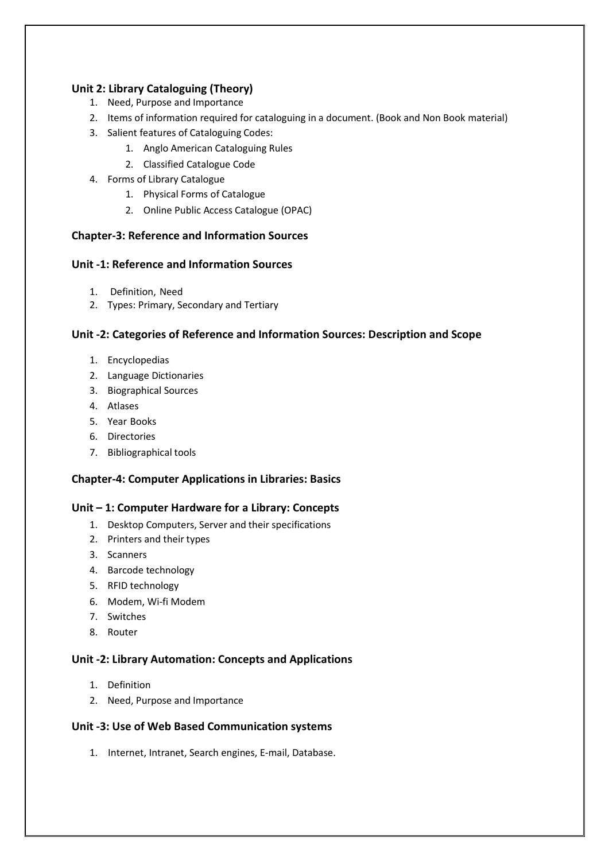#### **Unit 2: Library Cataloguing (Theory)**

- 1. Need, Purpose and Importance
- 2. Items of information required for cataloguing in a document. (Book and Non Book material)
- 3. Salient features of Cataloguing Codes:
	- 1. Anglo American Cataloguing Rules
	- 2. Classified Catalogue Code
- 4. Forms of Library Catalogue
	- 1. Physical Forms of Catalogue
	- 2. Online Public Access Catalogue (OPAC)

#### **Chapter-3: Reference and Information Sources**

#### **Unit -1: Reference and Information Sources**

- 1. Definition, Need
- 2. Types: Primary, Secondary and Tertiary

#### **Unit -2: Categories of Reference and Information Sources: Description and Scope**

- 1. Encyclopedias
- 2. Language Dictionaries
- 3. Biographical Sources
- 4. Atlases
- 5. Year Books
- 6. Directories
- 7. Bibliographical tools

#### **Chapter-4: Computer Applications in Libraries: Basics**

#### **Unit – 1: Computer Hardware for a Library: Concepts**

- 1. Desktop Computers, Server and their specifications
- 2. Printers and their types
- 3. Scanners
- 4. Barcode technology
- 5. RFID technology
- 6. Modem, Wi-fi Modem
- 7. Switches
- 8. Router

#### **Unit -2: Library Automation: Concepts and Applications**

- 1. Definition
- 2. Need, Purpose and Importance

#### **Unit -3: Use of Web Based Communication systems**

1. Internet, Intranet, Search engines, E-mail, Database.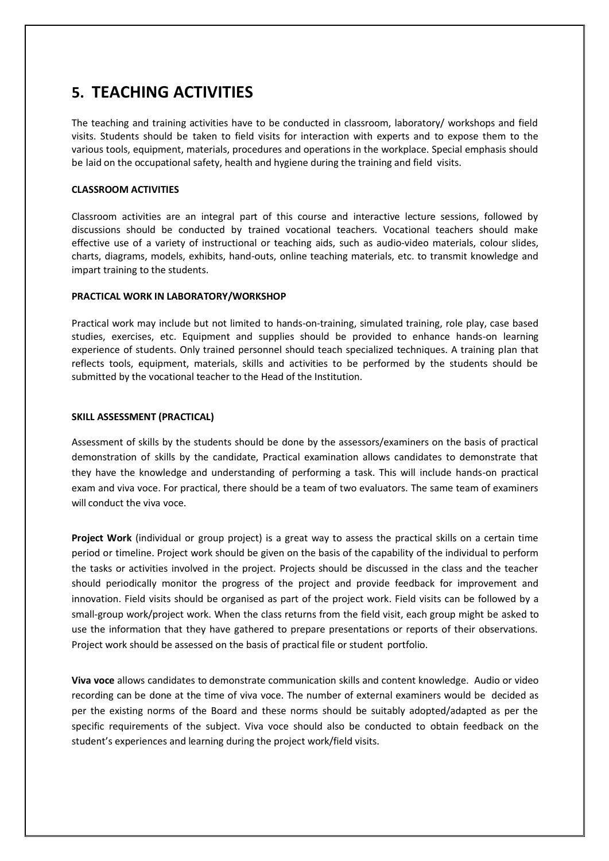### **5. TEACHING ACTIVITIES**

The teaching and training activities have to be conducted in classroom, laboratory/ workshops and field visits. Students should be taken to field visits for interaction with experts and to expose them to the various tools, equipment, materials, procedures and operations in the workplace. Special emphasis should be laid on the occupational safety, health and hygiene during the training and field visits.

#### **CLASSROOM ACTIVITIES**

Classroom activities are an integral part of this course and interactive lecture sessions, followed by discussions should be conducted by trained vocational teachers. Vocational teachers should make effective use of a variety of instructional or teaching aids, such as audio-video materials, colour slides, charts, diagrams, models, exhibits, hand-outs, online teaching materials, etc. to transmit knowledge and impart training to the students.

#### **PRACTICAL WORK IN LABORATORY/WORKSHOP**

Practical work may include but not limited to hands-on-training, simulated training, role play, case based studies, exercises, etc. Equipment and supplies should be provided to enhance hands-on learning experience of students. Only trained personnel should teach specialized techniques. A training plan that reflects tools, equipment, materials, skills and activities to be performed by the students should be submitted by the vocational teacher to the Head of the Institution.

#### **SKILL ASSESSMENT (PRACTICAL)**

Assessment of skills by the students should be done by the assessors/examiners on the basis of practical demonstration of skills by the candidate, Practical examination allows candidates to demonstrate that they have the knowledge and understanding of performing a task. This will include hands-on practical exam and viva voce. For practical, there should be a team of two evaluators. The same team of examiners will conduct the viva voce.

**Project Work** (individual or group project) is a great way to assess the practical skills on a certain time period or timeline. Project work should be given on the basis of the capability of the individual to perform the tasks or activities involved in the project. Projects should be discussed in the class and the teacher should periodically monitor the progress of the project and provide feedback for improvement and innovation. Field visits should be organised as part of the project work. Field visits can be followed by a small-group work/project work. When the class returns from the field visit, each group might be asked to use the information that they have gathered to prepare presentations or reports of their observations. Project work should be assessed on the basis of practical file or student portfolio.

**Viva voce** allows candidates to demonstrate communication skills and content knowledge. Audio or video recording can be done at the time of viva voce. The number of external examiners would be decided as per the existing norms of the Board and these norms should be suitably adopted/adapted as per the specific requirements of the subject. Viva voce should also be conducted to obtain feedback on the student's experiences and learning during the project work/field visits.